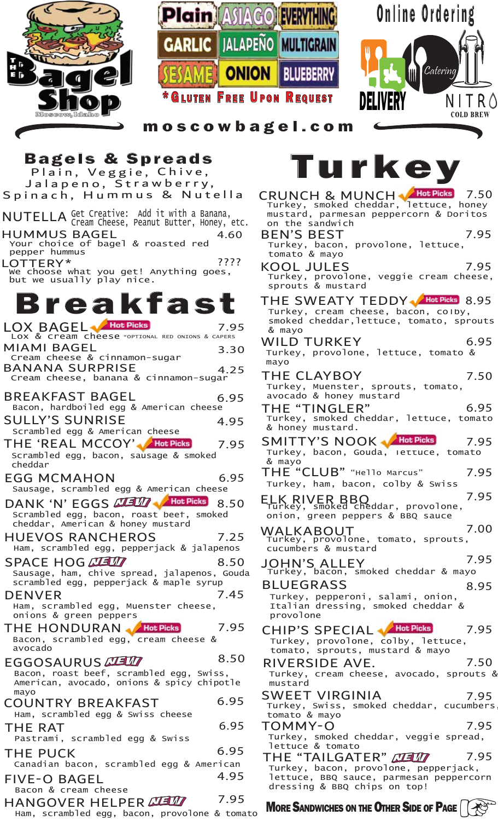





moscowbagel.com

COUNTRY BREAKFAST Ham, scrambled egg & Swiss cheese 6.95 THE RAT Pastrami, scrambled egg & Swiss 6.95 FIVE-O BAGEL Bacon & cream cheese 4.95 THE PUCK Canadian bacon, scrambled egg & American 6.95 BREAKFAST BAGEL Bacon, hardboiled egg & American cheese 6.95 SULLY'S SUNRISE Scrambled egg & American cheese 4.95 Scrambled egg, bacon, sausage & smoked cheddar THE 'REAL MCCOY' Hot Picks 7.95 HUEVOS RANCHEROS Ham, scrambled egg, pepperjack & jalapenos 7.25 EGG MCMAHON Sausage, scrambled egg & American cheese 6.95 DENVER Ham, scrambled egg, Muenster cheese, onions & green peppers 7.45 THE HONDURAN Bacon, scrambled egg, cream cheese & avocado 7.95 DANK 'N' EGGS **CLEVE WA Hot Picks** 8.50 Scrambled egg, bacon, roast beef, smoked cheddar, American & honey mustard 8.50 SPACE HOG ALL Sausage, ham, chive spread, jalapenos, Gouda scrambled egg, pepperjack & maple syrup 8.50 EGGOSAURUS MEM Bacon, roast beef, scrambled egg, Swiss, American, avocado, onions & spicy chipotle mayo Ham, scrambled egg, bacon, provolone & tomato HANGOVER HELPER MEMP 7.95 LOX & Cream cheese \*OPTIONAL RED ONIONS & CAPERS Breakfast BANANA SURPRISE Cream cheese, banana & cinnamon-sugar 7.95 MIAMI BAGEL Cream cheese & cinnamon-sugar 3.30 4.25 LOTTERY\* We choose what you get! Anything goes, but we usually play nice. ???? HUMMUS BAGEL 4.60 Your choice of bagel & roasted red pepper hummus LOX BAGEL Hot Picks NUTELLA Get Creative: Add it with a Banana, Cream Cheese, Peanut Butter, Honey, etc. Bagels & Spreads Plain, Veggie, Chive, Jalapeno, Strawberry, Spinach, Hummus & Nutella

THE "CLUB" "Hello Marcus" ELK RIVER BBQ Turkey, smoked cheddar, provolone, WALKABOUT Turkey, provolone, tomato, sprouts, JOHN'S ALLEY Turkey, bacon, smoked cheddar & mayo CRUNCH & MUNCH Hot Picks 7.50 KOOL JULES THE "TINGLER" 7.50 BEN'S BEST Turkey, bacon, provolone, lettuce, tomato & mayo Turkey, provolone, veggie cream cheese, sprouts & mustard WILD TURKEY Turkey, provolone, lettuce, tomato & mayo THE CLAYBOY Turkey, Muenster, sprouts, tomato, avocado & honey mustard Turkey, smoked cheddar, lettuce, tomato & honey mustard. 7.95 CHIP'S SPECIAL Mathet Picks Turkey, provolone, colby, lettuce, tomato, sprouts, mustard & mayo 7.95 THE SWEATY TEDDY MEERS 8.95 7.95 6.95 6.95 SMITTY'S NOOK Hot Picks Turkey, bacon, Gouda, lettuce, tomato & mayo 7.95 Turkey, ham, bacon, colby & Swiss 7.95 onion, green peppers & BBQ sauce 7.95 cucumbers & mustard 7.00 7.95 Turkey, cream cheese, bacon, colby, smoked cheddar,lettuce, tomato, sprouts & mayo BLUEGRASS Turkey, pepperoni, salami, onion, Italian dressing, smoked cheddar & provolone 8.95 RIVERSIDE AVE. Turkey, cream cheese, avocado, sprouts & mustard 7.50 SWEET VIRGINIA Turkey, Swiss, smoked cheddar, cucumbers, tomato & mayo 7.95 TOMMY-O Turkey, smoked cheddar, veggie spread, lettuce & tomato 7.95 THE "TAILGATER" NEW Turkey, bacon, provolone, pepperjack, 7.95 Turkey, smoked cheddar, lettuce, honey mustard, parmesan peppercorn & Doritos on the sandwich Turkey

**MORE SANDWICHES ON THE OTHER SIDE OF PAGE** |  $\left( \frac{1}{2} \right)$ 

dressing & BBQ chips on top!

lettuce, BBQ sauce, parmesan peppercorn